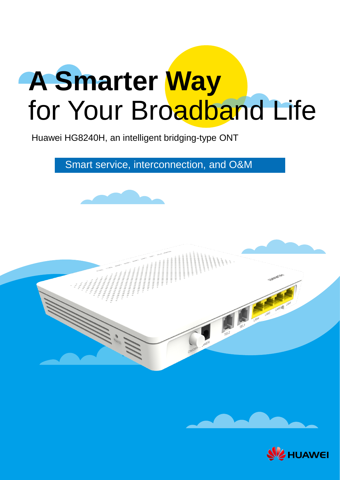# **A Smarter Way** for Your Broadband Life

Huawei HG8240H, an intelligent bridging-type ONT

Smart service, interconnection, and O&M